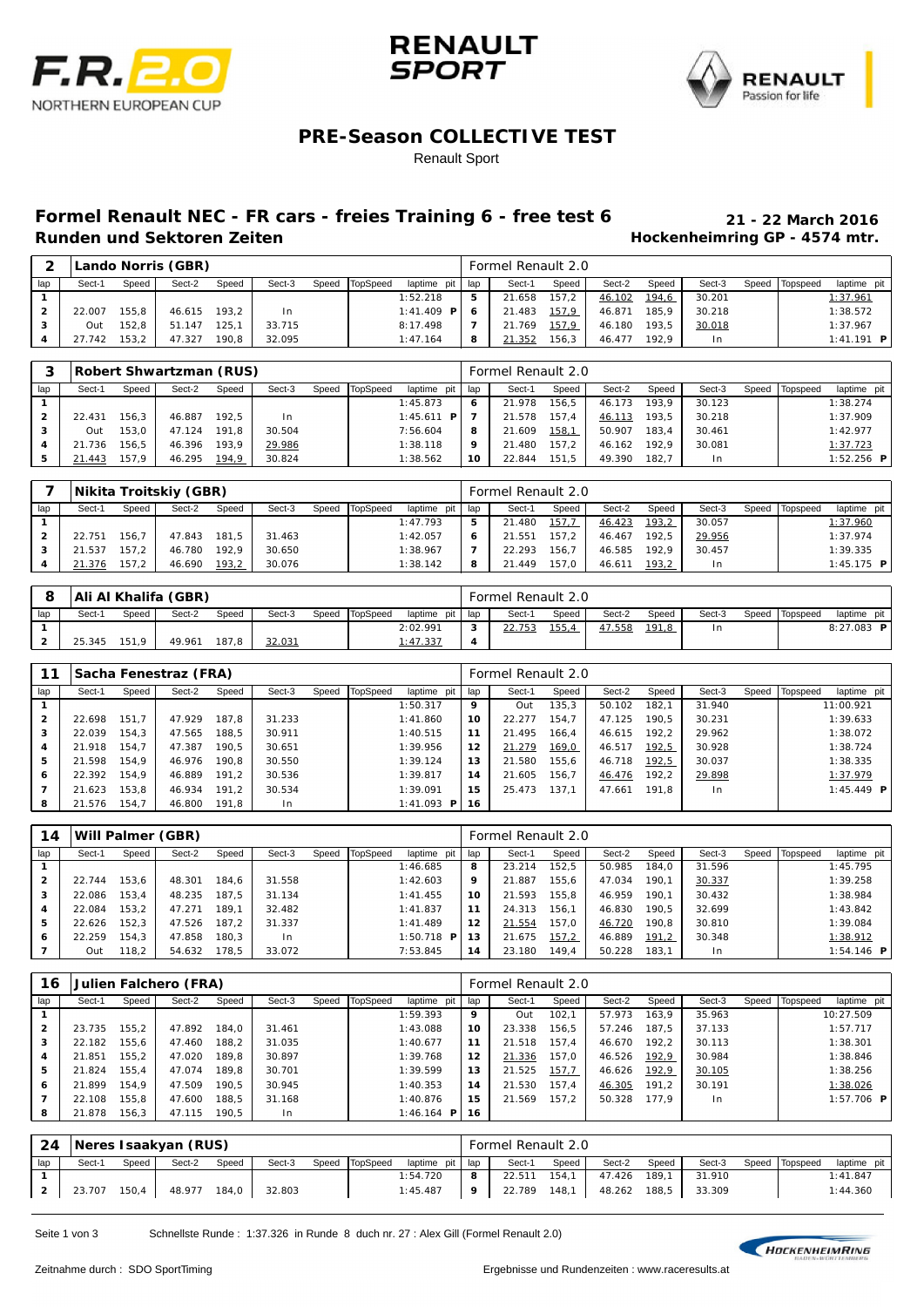





### **PRE-Season COLLECTIVE TEST**

#### Renault Sport

# **Formel Renault NEC - FR cars - freies Training 6 - free test 6 21 - 22 March 2016**

**Hockenheimring GP - 4574 mtr.** 

| ົ   |        |       | Lando Norris (GBR) |       |                |       |          |                    |      | Formel Renault 2.0 |        |        |       |        |       |                 |              |
|-----|--------|-------|--------------------|-------|----------------|-------|----------|--------------------|------|--------------------|--------|--------|-------|--------|-------|-----------------|--------------|
| lap | Sect-1 | Speed | Sect-2             | Speed | Sect-3         | Speed | TopSpeed | laptime pit        | 'lap | Sect-1             | Speed  | Sect-2 | Speed | Sect-3 | Speed | <b>Topspeed</b> | laptime pit  |
|     |        |       |                    |       |                |       |          | 1:52.218           | 5    | 21.658             | 157.2  | 46.102 | 194,6 | 30.201 |       |                 | 1:37.961     |
|     | 22.007 | 155.8 | 46.615             | 193.2 | 1 <sub>n</sub> |       |          | 1:41.409 <b>PI</b> | -6   | 21.483             | 157,9  | 46.871 | 185.9 | 30.218 |       |                 | 1:38.572     |
|     | Out    | 152.8 | 51.147             | 25.1  | 33.715         |       |          | 8:17.498           |      | 21.769             | 157, 9 | 46.180 | 193.5 | 30.018 |       |                 | 1:37.967     |
|     | 27.742 | 153.2 | 47.327             | 190.8 | 32.095         |       |          | 1:47.164           | 8    | 21.352             | 156.3  | 46.477 | 192.9 | l n    |       |                 | $1:41.191$ P |

| 3   |        |       | Robert Shwartzman (RUS) |       |        |                |               |     | Formel Renault 2.0 |       |        |       |        |       |          |                     |
|-----|--------|-------|-------------------------|-------|--------|----------------|---------------|-----|--------------------|-------|--------|-------|--------|-------|----------|---------------------|
| lap | Sect-1 | Speed | Sect-2                  | Speed | Sect-3 | Speed TopSpeed | laptime pit   | lap | Sect-1             | Speed | Sect-2 | Speed | Sect-3 | Speed | Topspeed | laptime pit         |
|     |        |       |                         |       |        |                | 1:45.873      | 6   | 21.978             | 156.5 | 46.173 | 193.9 | 30.123 |       |          | 1:38.274            |
|     | 22.431 | 156.3 | 46.887                  | 192.5 | l n    |                | 1:45.611<br>P |     | 21.578             | 157.4 | 46.113 | 193,5 | 30.218 |       |          | 1:37.909            |
|     | Out    | 153.0 | 47.124                  | 191.8 | 30.504 |                | 7:56.604      | 8   | 21.609             | 158,1 | 50.907 | 183.4 | 30.461 |       |          | 1:42.977            |
| 4   | 21.736 | 156.5 | 46.396                  | 193.9 | 29.986 |                | 1:38.118      | 9   | 21.480             | 157.2 | 46.162 | 192.9 | 30.081 |       |          | 1:37.723            |
| 5   | 21.443 | 157.9 | 46.295                  | 194.9 | 30.824 |                | 1:38.562      | 10  | 22.844             | 151.5 | 49.390 | 182.7 | I n    |       |          | $1:52.256$ <b>P</b> |

|                |        |       | Nikita Troitskiy (GBR) |       |        |       |          |             |     | Formel Renault 2.0 |              |        |       |        |       |          |              |
|----------------|--------|-------|------------------------|-------|--------|-------|----------|-------------|-----|--------------------|--------------|--------|-------|--------|-------|----------|--------------|
| lap            | Sect-1 | Speed | Sect-2                 | Speed | Sect-3 | Speed | TopSpeed | laptime pit | lap | Sect-1             | Speed        | Sect-2 | Speed | Sect-3 | Speed | Topspeed | laptime pit  |
|                |        |       |                        |       |        |       |          | 1:47.793    | 5   | 21.480             | <u>157,7</u> | 46.423 | 193,2 | 30.057 |       |          | 1:37.960     |
| $\overline{2}$ | 22.751 | 156.7 | 47.843                 | 181.5 | 31.463 |       |          | 1:42.057    | 6   | 21.551             | 157.2        | 46.467 | 192.5 | 29.956 |       |          | 1:37.974     |
|                | 21.537 | 157.2 | 46.780                 | 192.9 | 30.650 |       |          | 1:38.967    |     | 22.293             | 156.7        | 46.585 | 192.9 | 30.457 |       |          | 1:39.335     |
|                | 21.376 | 57.2  | 46.690                 | 193,2 | 30.076 |       |          | 1:38.142    | 8   | 21.449             | 157.0        | 46.611 | 193,2 | 1n     |       |          | 1:45.175 $P$ |

|     |        |       | Ali Al Khalifa (GBR) |       |        |                |             |                  | Formel Renault 2.0 |        |        |       |        |                |                   |
|-----|--------|-------|----------------------|-------|--------|----------------|-------------|------------------|--------------------|--------|--------|-------|--------|----------------|-------------------|
| lap | Sect-1 | Speed | Sect-2               | Speed | Sect-3 | Speed TopSpeed | laptime pit | lap              | Sect-1             | Speed  | Sect-2 | Speed | Sect-3 | Speed Topspeed | laptime pit l     |
|     |        |       |                      |       |        |                | 2:02.991    | 3                | 22.753             | 155, 4 | 47.558 | 191.8 | 1n     |                | 8:27.083 <b>P</b> |
|     | 25.345 | 151.9 | 49.961               | 187.8 | 32.031 |                | 1:47.337    | $\boldsymbol{A}$ |                    |        |        |       |        |                |                   |

| 11             |        |       | Sacha Fenestraz (FRA) |       |        |       |          |             |        | Formel Renault 2.0 |       |        |       |                |       |          |                   |
|----------------|--------|-------|-----------------------|-------|--------|-------|----------|-------------|--------|--------------------|-------|--------|-------|----------------|-------|----------|-------------------|
| lap            | Sect-1 | Speed | Sect-2                | Speed | Sect-3 | Speed | TopSpeed | laptime pit | lap    | Sect-1             | Speed | Sect-2 | Speed | Sect-3         | Speed | Topspeed | laptime pit       |
|                |        |       |                       |       |        |       |          | 1:50.317    | 9      | Out                | 135.3 | 50.102 | 182.1 | 31.940         |       |          | 11:00.921         |
| $\overline{2}$ | 22.698 | 151.7 | 47.929                | 187.8 | 31.233 |       |          | 1:41.860    | 10     | 22.277             | 154.7 | 47.125 | 190.5 | 30.231         |       |          | 1:39.633          |
| з              | 22.039 | 154.3 | 47.565                | 188.5 | 30.911 |       |          | 1:40.515    | 11     | 21.495             | 166.4 | 46.615 | 192.2 | 29.962         |       |          | 1:38.072          |
| 4              | 21.918 | 154.7 | 47.387                | 190.5 | 30.651 |       |          | 1:39.956    | 12     | 21.279             | 169,0 | 46.517 | 192,5 | 30.928         |       |          | 1:38.724          |
| 5              | 21.598 | 154.9 | 46.976                | 190.8 | 30.550 |       |          | 1:39.124    | 13     | 21.580             | 155.6 | 46.718 | 192,5 | 30.037         |       |          | 1:38.335          |
| 6              | 22.392 | 154.9 | 46.889                | 191.2 | 30.536 |       |          | 1:39.817    | 14     | 21.605             | 156.7 | 46.476 | 192.2 | 29.898         |       |          | 1:37.979          |
|                | 21.623 | 153.8 | 46.934                | 191.2 | 30.534 |       |          | 1:39.091    | 15     | 25.473             | 137.1 | 47.661 | 191.8 | 1 <sub>n</sub> |       |          | 1:45.449 <b>P</b> |
| 8              | 21.576 | 154.7 | 46.800                | 191.8 | l n    |       |          | 1:41.093    | P   16 |                    |       |        |       |                |       |          |                   |

| 14           |        | Will Palmer (GBR) |        |       |        |       |          |               |     | Formel Renault 2.0 |       |        |       |        |       |          |             |
|--------------|--------|-------------------|--------|-------|--------|-------|----------|---------------|-----|--------------------|-------|--------|-------|--------|-------|----------|-------------|
| lap          | Sect-1 | Speed             | Sect-2 | Speed | Sect-3 | Speed | TopSpeed | laptime pit   | lap | Sect-1             | Speed | Sect-2 | Speed | Sect-3 | Speed | Topspeed | laptime pit |
|              |        |                   |        |       |        |       |          | 1:46.685      | 8   | 23.214             | 152.5 | 50.985 | 184.0 | 31.596 |       |          | 1:45.795    |
| $\mathbf{2}$ | 22.744 | 153.6             | 48.301 | 184.6 | 31.558 |       |          | 1:42.603      | 9   | 21.887             | 155.6 | 47.034 | 190,1 | 30.337 |       |          | 1:39.258    |
| 3            | 22.086 | 153.4             | 48.235 | 187.5 | 31.134 |       |          | 1:41.455      | 10  | 21.593             | 155.8 | 46.959 | 190.1 | 30.432 |       |          | 1:38.984    |
|              | 22.084 | 153.2             | 47.271 | 189.1 | 32.482 |       |          | 1:41.837      | 11  | 24.313             | 156.1 | 46.830 | 190.5 | 32.699 |       |          | 1:43.842    |
| 5            | 22.626 | 152.3             | 47.526 | 187.2 | 31.337 |       |          | 1:41.489      | 12  | 21.554             | 157.0 | 46.720 | 190.8 | 30.810 |       |          | 1:39.084    |
| 6            | 22.259 | 154.3             | 47.858 | 180.3 | l n    |       |          | 1:50.718<br>P | 13  | 21.675             | 157,2 | 46.889 | 191.2 | 30.348 |       |          | 1:38.912    |
|              | Out    | 118.2             | 54.632 | 178.5 | 33.072 |       |          | 7:53.845      | 14  | 23.180             | 149.4 | 50.228 | 183.1 | I n    |       |          | 1:54.146 PI |

| 16             |        |       | Julien Falchero (FRA) |       |        |       |          |                   |     | Formel Renault 2.0 |               |        |       |        |       |          |                     |
|----------------|--------|-------|-----------------------|-------|--------|-------|----------|-------------------|-----|--------------------|---------------|--------|-------|--------|-------|----------|---------------------|
| lap            | Sect-1 | Speed | Sect-2                | Speed | Sect-3 | Speed | TopSpeed | laptime pit       | lap | Sect-1             | Speed         | Sect-2 | Speed | Sect-3 | Speed | Topspeed | laptime pit         |
|                |        |       |                       |       |        |       |          | 1:59.393          | 9   | Out                | 102.7         | 57.973 | 163.9 | 35.963 |       |          | 10:27.509           |
| $\overline{2}$ | 23.735 | 155.2 | 47.892                | 184.0 | 31.461 |       |          | 1:43.088          | 10  | 23.338             | 156.5         | 57.246 | 187.5 | 37.133 |       |          | 1:57.717            |
| 3              | 22.182 | 155.6 | 47.460                | 188.2 | 31.035 |       |          | 1:40.677          | 11  | 21.518             | 157.4         | 46.670 | 192.2 | 30.113 |       |          | 1:38.301            |
| 4              | 21.851 | 155.2 | 47.020                | 189.8 | 30.897 |       |          | 1:39.768          | 12  | 21.336             | 157.0         | 46.526 | 192,9 | 30.984 |       |          | 1:38.846            |
| 5              | 21.824 | 155.4 | 47.074                | 189.8 | 30.701 |       |          | 1:39.599          | 13  | 21.525             | <u> 157,7</u> | 46.626 | 192,9 | 30.105 |       |          | 1:38.256            |
| 6              | 21.899 | 154.9 | 47.509                | 190.5 | 30.945 |       |          | 1:40.353          | 14  | 21.530             | 157.4         | 46.305 | 191.2 | 30.191 |       |          | 1:38.026            |
|                | 22.108 | 155.8 | 47.600                | 188.5 | 31.168 |       |          | 1:40.876          | 15  | 21.569             | 157.2         | 50.328 | 177.9 | ln     |       |          | $1:57.706$ <b>P</b> |
| 8              | 21.878 | 156.3 | 47.115                | 190.5 | In.    |       |          | 1:46.164 $P$   16 |     |                    |               |        |       |        |       |          |                     |

| -24 |        |        | Neres I saakyan (RUS) |       |        |                |                   |   | Formel Renault 2.0 |       |        |       |        |                |             |
|-----|--------|--------|-----------------------|-------|--------|----------------|-------------------|---|--------------------|-------|--------|-------|--------|----------------|-------------|
| lap | Sect-1 | Speed  | Sect-2                | Speed | Sect-3 | Speed TopSpeed | laptime pit I lap |   | Sect-1             | Speed | Sect-2 | Speed | Sect-3 | Speed Topspeed | laptime pit |
|     |        |        |                       |       |        |                | 1:54.720          | 8 | 22.511             | 154.1 | 47.426 | 189.1 | 31.910 |                | 1:41.847    |
|     | 23.707 | 150, 4 | 48.977                | 184.0 | 32.803 |                | 1:45.487          | 9 | 22.789             | 148,1 | 48.262 | 188,5 | 33.309 |                | 1:44.360    |

Seite 1 von 3 Schnellste Runde : 1:37.326 in Runde 8 duch nr. 27 : Alex Gill (Formel Renault 2.0)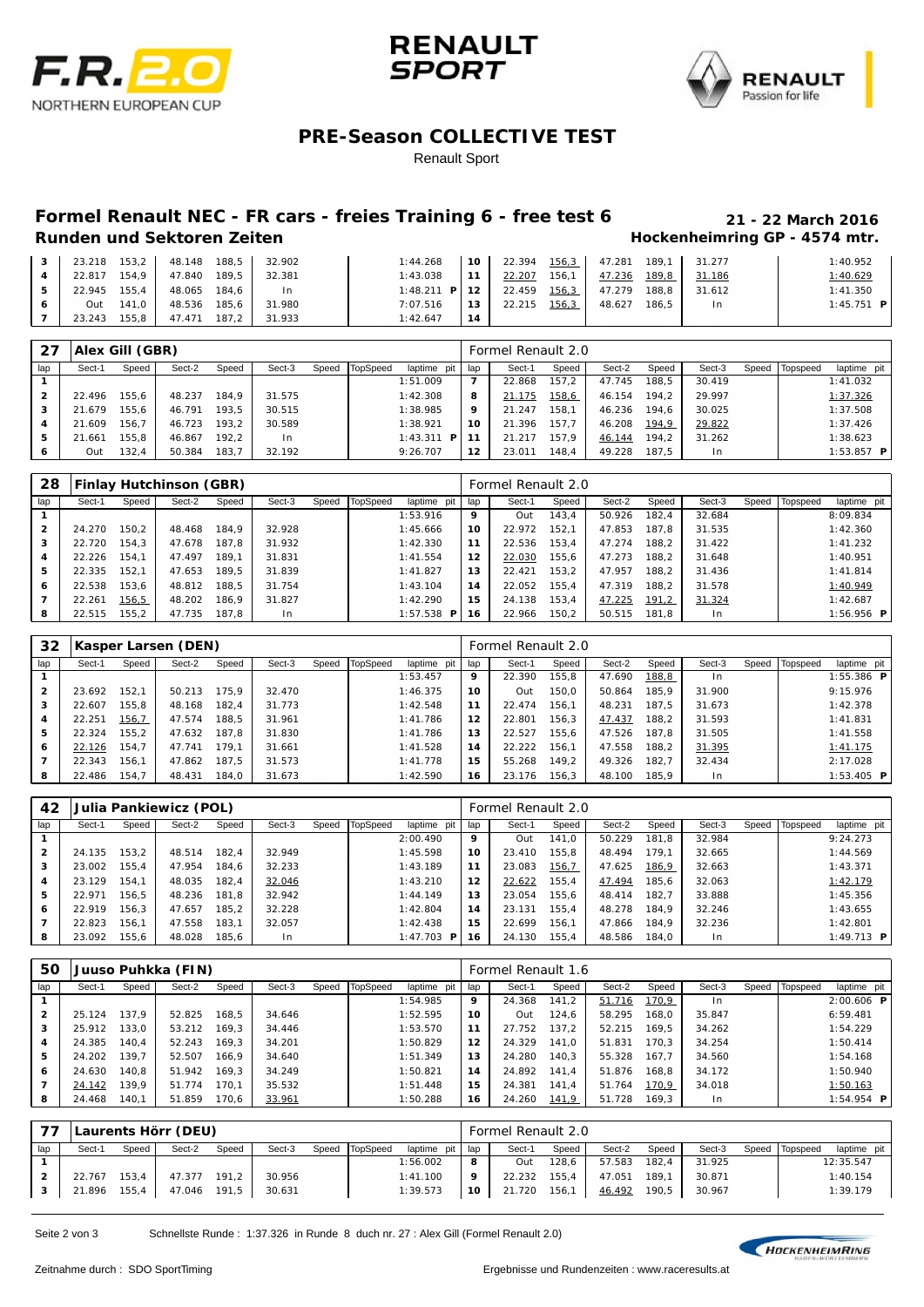





### **PRE-Season COLLECTIVE TEST**

Renault Sport

# **Formel Renault NEC - FR cars - freies Training 6 - free test 6 21 - 22 March 2016**

### **Hockenheimring GP - 4574 mtr.**

| $\overline{\mathbf{3}}$ | 23.218         | $153.2$   | 48.148 188.5              | 32.902              | 1:44.268                              | 110    | 22.394 156,3 47.281 189,1 31.277 |       |                     |       |              | 1:40.952     |
|-------------------------|----------------|-----------|---------------------------|---------------------|---------------------------------------|--------|----------------------------------|-------|---------------------|-------|--------------|--------------|
|                         |                |           | 22.817 154,9 47.840 189,5 | 32.381              | 1:43.038                              | l 11 l | 22.207                           | 156,1 | 47.236 189.8 31.186 |       |              | 1:40.629     |
| 5.                      | 22.945 155.4 L |           | 48.065 184.6 L            | 1 <sub>n</sub>      | 1:48.211 <b>P</b>   12   22.459 156.3 |        |                                  |       | 47.279              |       | 188.8 31.612 | 1:41.350     |
| 6                       |                | Out 141.0 | 48.536 185.6              | 31.980              | 7:07.516                              | l 13 l | 22.215                           | 156,3 | 48.627              | 186.5 | In.          | $1:45.751$ P |
|                         | 23.243         | 155, 8    |                           | 47.471 187,2 31.933 | 1:42.647                              | 14     |                                  |       |                     |       |              |              |

| -27            |        | 'Alex Gill (GBR) |        |       |        |       |          |                |                | Formel Renault 2.0 |       |        |       |        |       |          |                     |
|----------------|--------|------------------|--------|-------|--------|-------|----------|----------------|----------------|--------------------|-------|--------|-------|--------|-------|----------|---------------------|
| lap            | Sect-1 | Speed            | Sect-2 | Speed | Sect-3 | Speed | TopSpeed | laptime pit    | lap            | Sect-1             | Speed | Sect-2 | Speed | Sect-3 | Speed | Topspeed | laptime pit         |
|                |        |                  |        |       |        |       |          | 1:51.009       | $\overline{7}$ | 22.868             | 157.2 | 47.745 | 188.5 | 30.419 |       |          | 1:41.032            |
| $\overline{2}$ | 22.496 | 155.6            | 48.237 | 184.9 | 31.575 |       |          | 1:42.308       | 8              | 21.175             | 158,6 | 46.154 | 194.2 | 29.997 |       |          | 1:37.326            |
| з              | 21.679 | 155.6            | 46.791 | 193.5 | 30.515 |       |          | 1:38.985       | 9              | 21.247             | 158.1 | 46.236 | 194.6 | 30.025 |       |          | 1:37.508            |
| 4              | 21.609 | 156.7            | 46.723 | 193.2 | 30.589 |       |          | 1:38.921       | 10             | 21.396             | 157.7 | 46.208 | 194,9 | 29.822 |       |          | 1:37.426            |
| 5              | 21.661 | 155.8            | 46.867 | 192.2 | In.    |       |          | 1:43.311<br>P. | l 11           | 21.217             | 157.9 | 46.144 | 194.2 | 31.262 |       |          | 1:38.623            |
| 6              | Out    | 132,4            | 50.384 | 183.7 | 32.192 |       |          | 9:26.707       | 12             | 23.011             | 148.4 | 49.228 | 187.5 | l n    |       |          | $1:53.857$ <b>P</b> |

| 28             |        |       | Finlay Hutchinson (GBR) |       |        |       |          |                     |     | Formel Renault 2.0 |       |        |       |        |       |          |                     |
|----------------|--------|-------|-------------------------|-------|--------|-------|----------|---------------------|-----|--------------------|-------|--------|-------|--------|-------|----------|---------------------|
| lap            | Sect-1 | Speed | Sect-2                  | Speed | Sect-3 | Speed | TopSpeed | laptime pit         | lap | Sect-1             | Speed | Sect-2 | Speed | Sect-3 | Speed | Topspeed | laptime pit         |
|                |        |       |                         |       |        |       |          | 1:53.916            | 9   | Out                | 143.4 | 50.926 | 182.4 | 32.684 |       |          | 8:09.834            |
| $\overline{2}$ | 24.270 | 150.2 | 48.468                  | 184.9 | 32.928 |       |          | 1:45.666            | 10  | 22.972             | 152.1 | 47.853 | 187.8 | 31.535 |       |          | 1:42.360            |
| 3              | 22.720 | 154.3 | 47.678                  | 187.8 | 31.932 |       |          | 1:42.330            | 11  | 22.536             | 153.4 | 47.274 | 188.2 | 31.422 |       |          | 1:41.232            |
| 4              | 22.226 | 154.1 | 47.497                  | 189.1 | 31.831 |       |          | 1: 41.554           | 12  | 22.030             | 155.6 | 47.273 | 188.2 | 31.648 |       |          | 1:40.951            |
| 5              | 22.335 | 152,1 | 47.653                  | 189.5 | 31.839 |       |          | 1:41.827            | 13  | 22.421             | 153.2 | 47.957 | 188.2 | 31.436 |       |          | 1:41.814            |
| 6              | 22.538 | 153.6 | 48.812                  | 188.5 | 31.754 |       |          | 1:43.104            | 14  | 22.052             | 155.4 | 47.319 | 188.2 | 31.578 |       |          | 1:40.949            |
|                | 22.261 | 156,5 | 48.202                  | 186.9 | 31.827 |       |          | 1:42.290            | 15  | 24.138             | 153.4 | 47.225 | 191,2 | 31.324 |       |          | 1:42.687            |
| 8              | 22.515 | 155.2 | 47.735                  | 187.8 | In     |       |          | $1:57.538$ <b>P</b> | 16  | 22.966             | 150,2 | 50.515 | 181,8 | In     |       |          | $1:56.956$ <b>P</b> |

| 32  |        |       | Kasper Larsen (DEN) |       |        |       |          |             |     | Formel Renault 2.0 |       |        |       |        |       |          |                     |
|-----|--------|-------|---------------------|-------|--------|-------|----------|-------------|-----|--------------------|-------|--------|-------|--------|-------|----------|---------------------|
| lap | Sect-1 | Speed | Sect-2              | Speed | Sect-3 | Speed | TopSpeed | laptime pit | lap | Sect-1             | Speed | Sect-2 | Speed | Sect-3 | Speed | Topspeed | laptime pit         |
|     |        |       |                     |       |        |       |          | 1:53.457    | 9   | 22.390             | 155.8 | 47.690 | 188,8 | l n    |       |          | $1:55.386$ <b>P</b> |
|     | 23.692 | 152.1 | 50.213              | 75.9  | 32.470 |       |          | 1:46.375    | 10  | Out                | 150.0 | 50.864 | 185.9 | 31.900 |       |          | 9:15.976            |
| 3   | 22.607 | 155.8 | 48.168              | 182.4 | 31.773 |       |          | 1:42.548    | 11  | 22.474             | 156.1 | 48.231 | 187.5 | 31.673 |       |          | 1:42.378            |
| 4   | 22.251 | 156,7 | 47.574              | 188.5 | 31.961 |       |          | 1:41.786    | 12  | 22.801             | 156.3 | 47.437 | 188.2 | 31.593 |       |          | 1:41.831            |
| 5   | 22.324 | 155.2 | 47.632              | 187.8 | 31.830 |       |          | 1:41.786    | 13  | 22.527             | 155.6 | 47.526 | 187.8 | 31.505 |       |          | 1:41.558            |
| 6   | 22.126 | 154.7 | 47.741              | 179.1 | 31.661 |       |          | 1:41.528    | 14  | 22.222             | 156.1 | 47.558 | 188.2 | 31.395 |       |          | 1:41.175            |
|     | 22.343 | 156.1 | 47.862              | 187.5 | 31.573 |       |          | 1:41.778    | 15  | 55.268             | 149.2 | 49.326 | 182.7 | 32.434 |       |          | 2:17.028            |
| 8   | 22.486 | 154.7 | 48.431              | 184.0 | 31.673 |       |          | 1:42.590    | 16  | 23.176             | 156.3 | 48.100 | 185.9 | In.    |       |          | 1:53.405 <b>P</b>   |

| 42             |        |         | Julia Pankiewicz (POL) |       |        |       |          |                    |     | Formel Renault 2.0 |       |        |       |                |       |          |                   |
|----------------|--------|---------|------------------------|-------|--------|-------|----------|--------------------|-----|--------------------|-------|--------|-------|----------------|-------|----------|-------------------|
| lap            | Sect-1 | Speed b | Sect-2                 | Speed | Sect-3 | Speed | TopSpeed | laptime pit        | lap | Sect-1             | Speed | Sect-2 | Speed | Sect-3         | Speed | Topspeed | laptime pit       |
|                |        |         |                        |       |        |       |          | 2:00.490           | 9   | Out                | 141.0 | 50.229 | 181.8 | 32.984         |       |          | 9:24.273          |
| $\overline{2}$ | 24.135 | 153.2   | 48.514                 | 182.4 | 32.949 |       |          | 1:45.598           | 10  | 23.410             | 155.8 | 48.494 | 179.1 | 32.665         |       |          | 1:44.569          |
| з              | 23.002 | 155.4   | 47.954                 | 184.6 | 32.233 |       |          | 1:43.189           | 11  | 23.083             | 156,7 | 47.625 | 186,9 | 32.663         |       |          | 1:43.371          |
| 4              | 23.129 | 154.1   | 48.035                 | 182.4 | 32.046 |       |          | 1:43.210           | 12  | 22.622             | 155,4 | 47.494 | 185.6 | 32.063         |       |          | 1:42.179          |
| 5              | 22.971 | 156.5   | 48.236                 | 181.8 | 32.942 |       |          | 1:44.149           | 13  | 23.054             | 155.6 | 48.414 | 182.7 | 33.888         |       |          | 1:45.356          |
| 6              | 22.919 | 156.3   | 47.657                 | 185.2 | 32.228 |       |          | 1:42.804           | 14  | 23.131             | 155.4 | 48.278 | 184.9 | 32.246         |       |          | 1:43.655          |
|                | 22.823 | 156.1   | 47.558                 | 183.1 | 32.057 |       |          | 1:42.438           | 15  | 22.699             | 156.1 | 47.866 | 184.9 | 32.236         |       |          | 1:42.801          |
| 8              | 23.092 | 155,6   | 48.028                 | 185.6 | In     |       |          | 1:47.703 <b>PI</b> | 16  | 24.130             | 155,4 | 48.586 | 184.0 | 1 <sub>n</sub> |       |          | 1:49.713 <b>P</b> |

| 50           |        |       | Juuso Puhkka (FIN) |       |        |       |          |             |     | Formel Renault 1.6 |       |        |        |        |       |          |                     |
|--------------|--------|-------|--------------------|-------|--------|-------|----------|-------------|-----|--------------------|-------|--------|--------|--------|-------|----------|---------------------|
| lap          | Sect-1 | Speed | Sect-2             | Speed | Sect-3 | Speed | TopSpeed | laptime pit | lap | Sect-1             | Speed | Sect-2 | Speed  | Sect-3 | Speed | Topspeed | laptime pit         |
|              |        |       |                    |       |        |       |          | 1:54.985    | 9   | 24.368             | 141,2 | 51.716 | 170, 9 | I n    |       |          | $2:00.606$ <b>P</b> |
| $\mathbf{2}$ | 25.124 | 137.9 | 52.825             | 168.5 | 34.646 |       |          | 1:52.595    | 10  | Out                | 124.6 | 58.295 | 168.0  | 35.847 |       |          | 6:59.481            |
| 3            | 25.912 | 133.0 | 53.212             | 169.3 | 34.446 |       |          | 1:53.570    | 11  | 27.752             | 137.2 | 52.215 | 169.5  | 34.262 |       |          | 1:54.229            |
| 4            | 24.385 | 140.4 | 52.243             | 169.3 | 34.201 |       |          | 1:50.829    | 12  | 24.329             | 141.0 | 51.831 | 170.3  | 34.254 |       |          | 1:50.414            |
| 5            | 24.202 | 139,7 | 52.507             | 166.9 | 34.640 |       |          | 1:51.349    | 13  | 24.280             | 140.3 | 55.328 | 167.7  | 34.560 |       |          | 1:54.168            |
| 6            | 24.630 | 140.8 | 51.942             | 169.3 | 34.249 |       |          | 1:50.821    | 14  | 24.892             | 141.4 | 51.876 | 168.8  | 34.172 |       |          | 1:50.940            |
|              | 24.142 | 139.9 | 51.774             | 170.1 | 35.532 |       |          | 1:51.448    | 15  | 24.381             | 141.4 | 51.764 | 170.9  | 34.018 |       |          | 1:50.163            |
| 8            | 24.468 | 140,1 | 51.859             | 170,6 | 33.961 |       |          | 1:50.288    | 16  | 24.260             | 141,9 | 51.728 | 169,3  | I n    |       |          | $1:54.954$ <b>P</b> |

| laptime pit |                |        |       |        |       |        | Formel Renault 2.0 |             | Laurents Hörr (DEU)<br>Sect-2<br>Sect-3<br>Speed TopSpeed<br>Sect-1<br>Speed<br>Speed |  |        |       |              |          |        |     |  |  |
|-------------|----------------|--------|-------|--------|-------|--------|--------------------|-------------|---------------------------------------------------------------------------------------|--|--------|-------|--------------|----------|--------|-----|--|--|
|             | Speed Topspeed | Sect-3 | Speed | Sect-2 | Speed | Sect-1 | lap                | laptime pit |                                                                                       |  |        |       |              |          |        | lap |  |  |
| 12:35.547   |                | 31.925 | 182.4 | 57.583 | 128,6 | Out    | 8                  | 1:56.002    |                                                                                       |  |        |       |              |          |        |     |  |  |
| 1:40.154    |                | 30.871 | 189.1 | 47.051 | 155,4 | 22.232 | 9                  | 1:41.100    |                                                                                       |  | 30.956 | 191.2 | 47.377       | 153, 4   | 22.767 |     |  |  |
| 1:39.179    |                | 30.967 | 190.5 | 46.492 | 156,1 | 21.720 | 10                 | 1:39.573    |                                                                                       |  | 30.631 |       | 47.046 191,5 | $155, 4$ | 21.896 | 3   |  |  |
|             |                |        |       |        |       |        |                    |             |                                                                                       |  |        |       |              |          |        |     |  |  |

Seite 2 von 3 Schnellste Runde : 1:37.326 in Runde 8 duch nr. 27 : Alex Gill (Formel Renault 2.0)